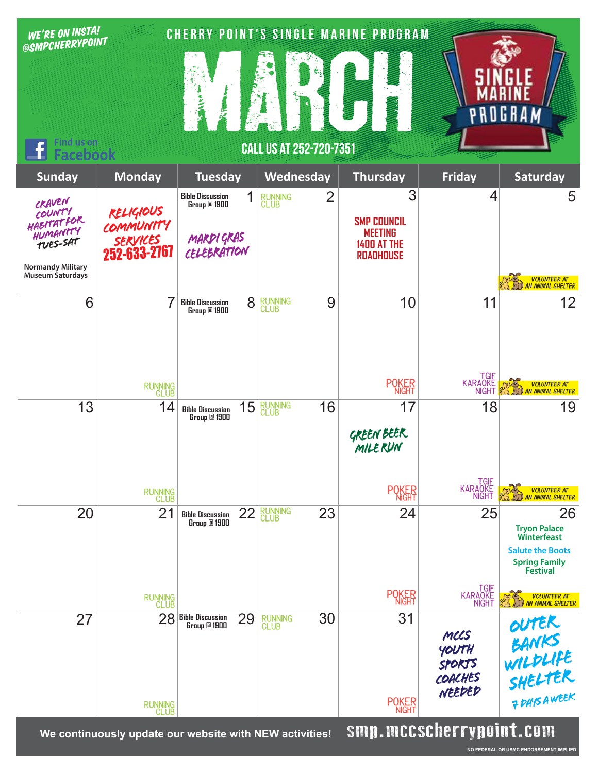| @SMPCHERRYPOINT<br>$\epsilon_{\rm B}$<br><b>Find us on</b><br><b>CALL US AT 252-720-7351</b>                                                                                                                                                                                                                   | GRAM                                                                                                                        |
|----------------------------------------------------------------------------------------------------------------------------------------------------------------------------------------------------------------------------------------------------------------------------------------------------------------|-----------------------------------------------------------------------------------------------------------------------------|
| <b>cebook</b><br><b>Monday</b><br>Wednesday<br><b>Friday</b><br><b>Sunday</b><br><b>Tuesday</b><br><b>Thursday</b>                                                                                                                                                                                             | Saturday                                                                                                                    |
| 3<br>$\overline{2}$<br>1<br><b>Bible Discussion</b><br><b>RUNNING</b><br>CLUB<br>CRAVEN<br>Group @ 1900<br>RELIGIOUS<br>COUNTY<br>HABITATFOR<br><b>SMP COUNCIL</b><br><b>COMMUNITY</b><br>HUMANITY<br><b>MEETING</b><br>MARDI GRAS<br><i>SERVICES</i><br>252-633-2767<br><b>TUES-SAT</b><br><b>1400 AT THE</b> | 4<br>5                                                                                                                      |
| CELEBRATION<br><b>ROADHOUSE</b><br><b>Normandy Military</b><br>Museum Saturdays                                                                                                                                                                                                                                | VOLUNTEER AT<br>AN ANIMAL SHELTER                                                                                           |
| 6<br>7<br>9<br>8<br>10<br>RUNNING<br>CLUB<br><b>Bible Discussion</b><br>Group @ 1900                                                                                                                                                                                                                           | 12<br>11                                                                                                                    |
| <b>POKER</b><br>RUNNING<br>CLUB                                                                                                                                                                                                                                                                                | TGIF<br>KARAOKE<br>NIGHT<br><b>VOLUNTEER AT</b><br><b>AN ANIMAL SHELTER</b>                                                 |
| 15<br>RUNNING<br>CLUB<br>16<br>17<br>13<br>14<br><b>Bible Discussion</b><br>Group @ 1900<br><b>GREEN BEER</b><br>MILERUN                                                                                                                                                                                       | 18<br>19                                                                                                                    |
| <b>POKER</b><br>RUNNING<br>CLUB                                                                                                                                                                                                                                                                                | TGIF<br>KARAOKE<br>NIGHT<br><b>VOLUNTEER AT</b><br><b>AN ANIMAL SHELTER</b>                                                 |
| <b>RUNNING</b><br>CLUB<br>21<br>22<br>24<br>20<br>23<br><b>Bible Discussion</b><br>Group @ 1900                                                                                                                                                                                                                | 25<br>26<br><b>Tryon Palace</b><br><b>Winterfeast</b><br><b>Salute the Boots</b><br><b>Spring Family</b><br><b>Festival</b> |
| <b>POKER</b><br>RUNNING<br>CLUB                                                                                                                                                                                                                                                                                | TGIF<br>KARAOKE<br>NIGHT<br>VOLUNTEER AT<br>AN ANIMAL SHELTER                                                               |
| 31<br>30<br>28<br><b>Bible Discussion<br/>Group @ 1900</b><br>29<br>27<br>RUNNING<br>CLUB<br>MCCS<br>YOUTH<br><b>SPORTS</b><br>COACHES<br>NEEDED                                                                                                                                                               | OUTER<br>BANKS<br>WILDLIFE<br>SHELTER<br>PRISAWEEK                                                                          |
| <b>POKER</b><br>RUNNING<br>CLUB<br>emn mrrecherrungint com                                                                                                                                                                                                                                                     |                                                                                                                             |

We continuously update our website with NEW activities! **SINII. NICL SUNCI I YNUIN L. CUIN**